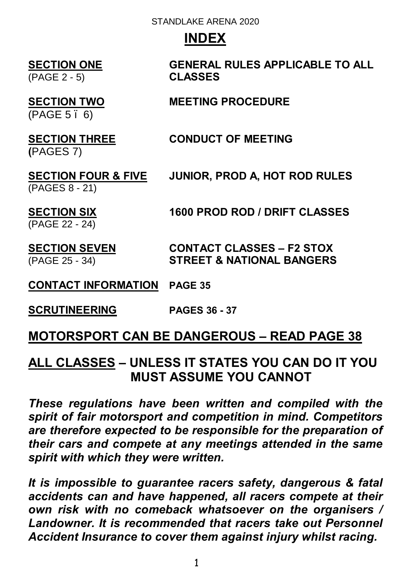# **INDEX**

(PAGE 2 - 5) **CLASSES**

# **SECTION ONE GENERAL RULES APPLICABLE TO ALL**

#### **SECTION TWO MEETING PROCEDURE**

 $(PAGE 5.6)$ 

# **SECTION THREE CONDUCT OF MEETING**

**(**PAGES 7)

# (PAGES 8 - 21)

**SECTION FOUR & FIVE JUNIOR, PROD A, HOT ROD RULES** 

**SECTION SIX 1600 PROD ROD / DRIFT CLASSES**

(PAGE 22 - 24)

**SECTION SEVEN CONTACT CLASSES – F2 STOX**  (PAGE 25 - 34) **STREET & NATIONAL BANGERS**

#### **CONTACT INFORMATION PAGE 35**

**SCRUTINEERING PAGES 36 - 37**

# **MOTORSPORT CAN BE DANGEROUS – READ PAGE 38**

# **ALL CLASSES – UNLESS IT STATES YOU CAN DO IT YOU MUST ASSUME YOU CANNOT**

*These regulations have been written and compiled with the spirit of fair motorsport and competition in mind. Competitors are therefore expected to be responsible for the preparation of their cars and compete at any meetings attended in the same spirit with which they were written.*

*It is impossible to guarantee racers safety, dangerous & fatal accidents can and have happened, all racers compete at their own risk with no comeback whatsoever on the organisers / Landowner. It is recommended that racers take out Personnel Accident Insurance to cover them against injury whilst racing.*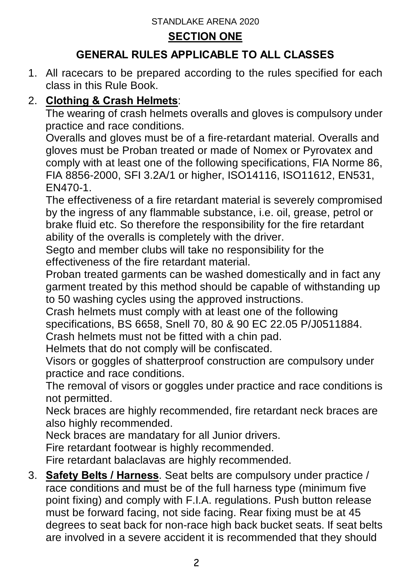#### **SECTION ONE**

# **GENERAL RULES APPLICABLE TO ALL CLASSES**

1. All racecars to be prepared according to the rules specified for each class in this Rule Book.

# 2. **Clothing & Crash Helmets**:

The wearing of crash helmets overalls and gloves is compulsory under practice and race conditions.

Overalls and gloves must be of a fire-retardant material. Overalls and gloves must be Proban treated or made of Nomex or Pyrovatex and comply with at least one of the following specifications, FIA Norme 86, FIA 8856-2000, SFI 3.2A/1 or higher, ISO14116, ISO11612, EN531, EN470-1.

The effectiveness of a fire retardant material is severely compromised by the ingress of any flammable substance, i.e. oil, grease, petrol or brake fluid etc. So therefore the responsibility for the fire retardant ability of the overalls is completely with the driver.

Segto and member clubs will take no responsibility for the effectiveness of the fire retardant material.

Proban treated garments can be washed domestically and in fact any garment treated by this method should be capable of withstanding up to 50 washing cycles using the approved instructions.

Crash helmets must comply with at least one of the following specifications, BS 6658, Snell 70, 80 & 90 EC 22.05 P/J0511884.

Crash helmets must not be fitted with a chin pad.

Helmets that do not comply will be confiscated.

Visors or goggles of shatterproof construction are compulsory under practice and race conditions.

The removal of visors or goggles under practice and race conditions is not permitted.

Neck braces are highly recommended, fire retardant neck braces are also highly recommended.

Neck braces are mandatary for all Junior drivers.

Fire retardant footwear is highly recommended.

Fire retardant balaclavas are highly recommended.

3. **Safety Belts / Harness**. Seat belts are compulsory under practice / race conditions and must be of the full harness type (minimum five point fixing) and comply with F.I.A. regulations. Push button release must be forward facing, not side facing. Rear fixing must be at 45 degrees to seat back for non-race high back bucket seats. If seat belts are involved in a severe accident it is recommended that they should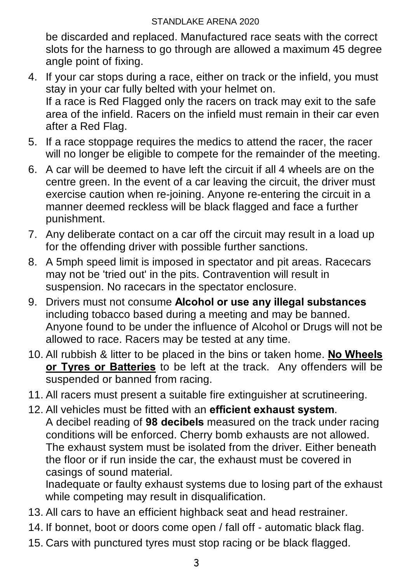be discarded and replaced. Manufactured race seats with the correct slots for the harness to go through are allowed a maximum 45 degree angle point of fixing.

- 4. If your car stops during a race, either on track or the infield, you must stay in your car fully belted with your helmet on. If a race is Red Flagged only the racers on track may exit to the safe area of the infield. Racers on the infield must remain in their car even after a Red Flag.
- 5. If a race stoppage requires the medics to attend the racer, the racer will no longer be eligible to compete for the remainder of the meeting.
- 6. A car will be deemed to have left the circuit if all 4 wheels are on the centre green. In the event of a car leaving the circuit, the driver must exercise caution when re-joining. Anyone re-entering the circuit in a manner deemed reckless will be black flagged and face a further punishment.
- 7. Any deliberate contact on a car off the circuit may result in a load up for the offending driver with possible further sanctions.
- 8. A 5mph speed limit is imposed in spectator and pit areas. Racecars may not be 'tried out' in the pits. Contravention will result in suspension. No racecars in the spectator enclosure.
- 9. Drivers must not consume **Alcohol or use any illegal substances** including tobacco based during a meeting and may be banned. Anyone found to be under the influence of Alcohol or Drugs will not be allowed to race. Racers may be tested at any time.
- 10. All rubbish & litter to be placed in the bins or taken home. **No Wheels or Tyres or Batteries** to be left at the track. Any offenders will be suspended or banned from racing.
- 11. All racers must present a suitable fire extinguisher at scrutineering.
- 12. All vehicles must be fitted with an **efficient exhaust system**. A decibel reading of **98 decibels** measured on the track under racing conditions will be enforced. Cherry bomb exhausts are not allowed. The exhaust system must be isolated from the driver. Either beneath the floor or if run inside the car, the exhaust must be covered in casings of sound material.

Inadequate or faulty exhaust systems due to losing part of the exhaust while competing may result in disqualification.

- 13. All cars to have an efficient highback seat and head restrainer.
- 14. If bonnet, boot or doors come open / fall off automatic black flag.
- 15. Cars with punctured tyres must stop racing or be black flagged.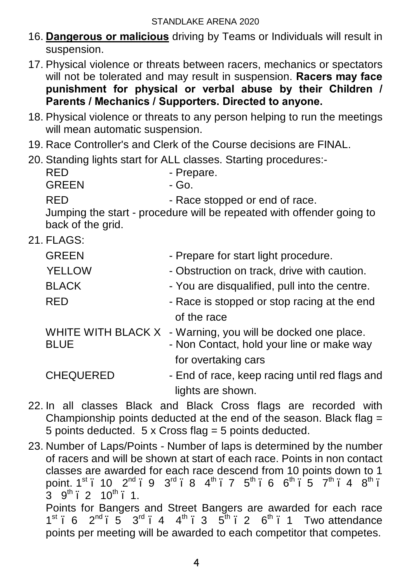- 16. **Dangerous or malicious** driving by Teams or Individuals will result in suspension.
- 17. Physical violence or threats between racers, mechanics or spectators will not be tolerated and may result in suspension. **Racers may face punishment for physical or verbal abuse by their Children / Parents / Mechanics / Supporters. Directed to anyone.**
- 18. Physical violence or threats to any person helping to run the meetings will mean automatic suspension.
- 19. Race Controller's and Clerk of the Course decisions are FINAL.
- 20. Standing lights start for ALL classes. Starting procedures:-

| RED                               | - Prepare.                                                                                    |
|-----------------------------------|-----------------------------------------------------------------------------------------------|
| <b>GREEN</b>                      | - Go.                                                                                         |
| RED                               | - Race stopped or end of race.                                                                |
| back of the grid.                 | Jumping the start - procedure will be repeated with offender going to                         |
| 21. FLAGS:                        |                                                                                               |
| <b>GREEN</b>                      | - Prepare for start light procedure.                                                          |
| <b>YELLOW</b>                     | - Obstruction on track, drive with caution.                                                   |
| <b>BLACK</b>                      | - You are disqualified, pull into the centre.                                                 |
| RED                               | - Race is stopped or stop racing at the end                                                   |
|                                   | of the race                                                                                   |
| WHITE WITH BLACK X<br><b>BLUE</b> | - Warning, you will be docked one place.<br>- Non Contact, hold your line or make way         |
|                                   | for overtaking cars                                                                           |
| <b>CHEQUERED</b>                  | - End of race, keep racing until red flags and                                                |
|                                   | lights are shown.                                                                             |
|                                   | 00 bi all alagana Diladi angl. Diadi Ongay (lang ang<br>الملافية المتحامين والمتحدث والمستحدث |

- 22. In all classes Black and Black Cross flags are recorded with Championship points deducted at the end of the season. Black flag = 5 points deducted. 5 x Cross flag = 5 points deducted.
- 23. Number of Laps/Points Number of laps is determined by the number of racers and will be shown at start of each race. Points in non contact classes are awarded for each race descend from 10 points down to 1 point. 1st . 10  $2^{nd}$  . 9  $3^{rd}$  . 8  $4^{th}$  . 7  $5^{th}$  . 6  $6^{th}$  . 5  $7^{th}$  . 4  $8^{th}$  .  $3.9^{th}$  2 10<sup>th</sup> 1. Points for Bangers and Street Bangers are awarded for each race  $1^{st}$  6  $2^{nd}$  – 5  $3^{rd}$  – 4  $4^{th}$  – 3  $5^{th}$  – 2  $6^{th}$  – 1 Two attendance points per meeting will be awarded to each competitor that competes.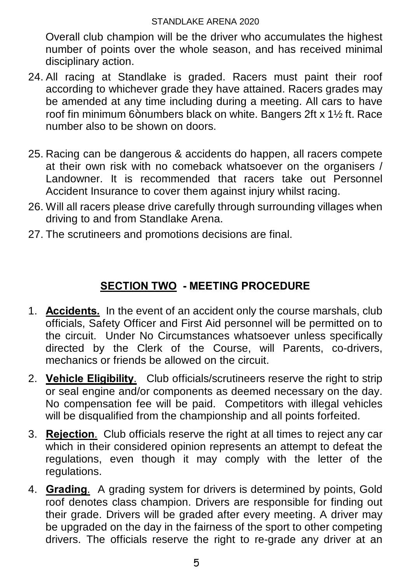Overall club champion will be the driver who accumulates the highest number of points over the whole season, and has received minimal disciplinary action.

- 24. All racing at Standlake is graded. Racers must paint their roof according to whichever grade they have attained. Racers grades may be amended at any time including during a meeting. All cars to have roof fin minimum 6+numbers black on white. Bangers 2ft x 1½ ft. Race number also to be shown on doors.
- 25. Racing can be dangerous & accidents do happen, all racers compete at their own risk with no comeback whatsoever on the organisers / Landowner. It is recommended that racers take out Personnel Accident Insurance to cover them against injury whilst racing.
- 26. Will all racers please drive carefully through surrounding villages when driving to and from Standlake Arena.
- 27. The scrutineers and promotions decisions are final.

# **SECTION TWO - MEETING PROCEDURE**

- 1. **Accidents.** In the event of an accident only the course marshals, club officials, Safety Officer and First Aid personnel will be permitted on to the circuit. Under No Circumstances whatsoever unless specifically directed by the Clerk of the Course, will Parents, co-drivers, mechanics or friends be allowed on the circuit.
- 2. **Vehicle Eligibility**. Club officials/scrutineers reserve the right to strip or seal engine and/or components as deemed necessary on the day. No compensation fee will be paid. Competitors with illegal vehicles will be disqualified from the championship and all points forfeited.
- 3. **Rejection**. Club officials reserve the right at all times to reject any car which in their considered opinion represents an attempt to defeat the regulations, even though it may comply with the letter of the regulations.
- 4. **Grading**. A grading system for drivers is determined by points, Gold roof denotes class champion. Drivers are responsible for finding out their grade. Drivers will be graded after every meeting. A driver may be upgraded on the day in the fairness of the sport to other competing drivers. The officials reserve the right to re-grade any driver at an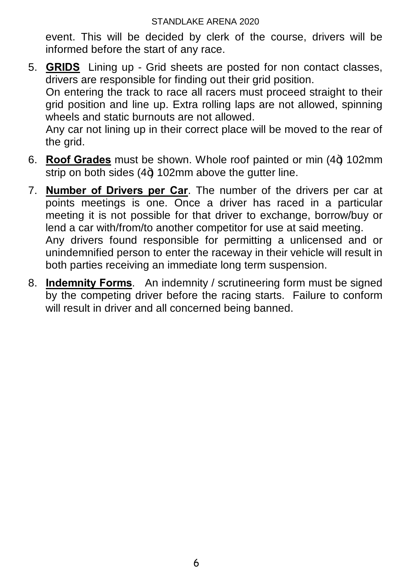event. This will be decided by clerk of the course, drivers will be informed before the start of any race.

5. **GRIDS** Lining up - Grid sheets are posted for non contact classes, drivers are responsible for finding out their grid position. On entering the track to race all racers must proceed straight to their

grid position and line up. Extra rolling laps are not allowed, spinning wheels and static burnouts are not allowed.

Any car not lining up in their correct place will be moved to the rear of the grid.

- 6. **Roof Grades** must be shown. Whole roof painted or min (4+) 102mm strip on both sides  $(4+)$  102mm above the gutter line.
- 7. **Number of Drivers per Car**. The number of the drivers per car at points meetings is one. Once a driver has raced in a particular meeting it is not possible for that driver to exchange, borrow/buy or lend a car with/from/to another competitor for use at said meeting.

Any drivers found responsible for permitting a unlicensed and or unindemnified person to enter the raceway in their vehicle will result in both parties receiving an immediate long term suspension.

8. **Indemnity Forms**. An indemnity / scrutineering form must be signed by the competing driver before the racing starts. Failure to conform will result in driver and all concerned being banned.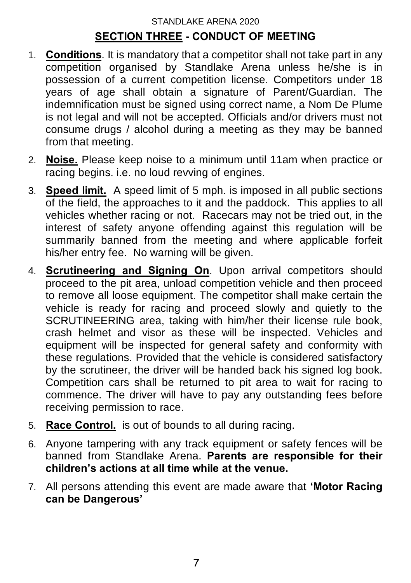#### STANDLAKE ARENA 2020 **SECTION THREE - CONDUCT OF MEETING**

- 1. **Conditions**. It is mandatory that a competitor shall not take part in any competition organised by Standlake Arena unless he/she is in possession of a current competition license. Competitors under 18 years of age shall obtain a signature of Parent/Guardian. The indemnification must be signed using correct name, a Nom De Plume is not legal and will not be accepted. Officials and/or drivers must not consume drugs / alcohol during a meeting as they may be banned from that meeting.
- 2. **Noise.** Please keep noise to a minimum until 11am when practice or racing begins. i.e. no loud revving of engines.
- 3. **Speed limit.** A speed limit of 5 mph. is imposed in all public sections of the field, the approaches to it and the paddock. This applies to all vehicles whether racing or not. Racecars may not be tried out, in the interest of safety anyone offending against this regulation will be summarily banned from the meeting and where applicable forfeit his/her entry fee. No warning will be given.
- 4. **Scrutineering and Signing On**. Upon arrival competitors should proceed to the pit area, unload competition vehicle and then proceed to remove all loose equipment. The competitor shall make certain the vehicle is ready for racing and proceed slowly and quietly to the SCRUTINEERING area, taking with him/her their license rule book, crash helmet and visor as these will be inspected. Vehicles and equipment will be inspected for general safety and conformity with these regulations. Provided that the vehicle is considered satisfactory by the scrutineer, the driver will be handed back his signed log book. Competition cars shall be returned to pit area to wait for racing to commence. The driver will have to pay any outstanding fees before receiving permission to race.
- 5. **Race Control.** is out of bounds to all during racing.
- 6. Anyone tampering with any track equipment or safety fences will be banned from Standlake Arena. **Parents are responsible for their children's actions at all time while at the venue.**
- 7. All persons attending this event are made aware that **'Motor Racing can be Dangerous'**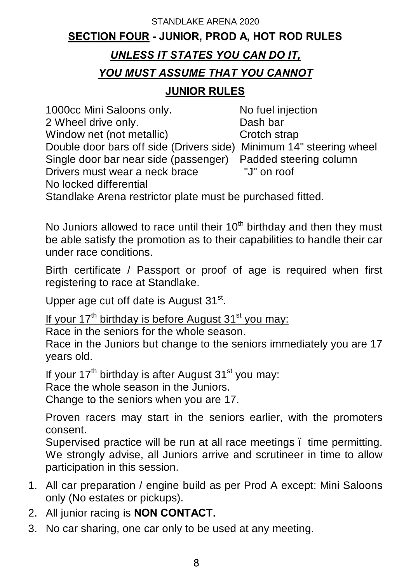# STANDLAKE ARENA 2020 **SECTION FOUR - JUNIOR, PROD A, HOT ROD RULES**

## *UNLESS IT STATES YOU CAN DO IT,*

## *YOU MUST ASSUME THAT YOU CANNOT*

#### **JUNIOR RULES**

1000cc Mini Saloons only. No fuel injection 2 Wheel drive only.<br>
Window net (not metallic) Crotch strap Window net (not metallic) Double door bars off side (Drivers side) Minimum 14" steering wheel Single door bar near side (passenger) Padded steering column<br>Drivers must wear a neck brace "J" on roof Drivers must wear a neck brace No locked differential

Standlake Arena restrictor plate must be purchased fitted.

No Juniors allowed to race until their  $10<sup>th</sup>$  birthday and then they must be able satisfy the promotion as to their capabilities to handle their car under race conditions.

Birth certificate / Passport or proof of age is required when first registering to race at Standlake.

Upper age cut off date is August 31<sup>st</sup>.

If your  $17<sup>th</sup>$  birthday is before August  $31<sup>st</sup>$  you may:

Race in the seniors for the whole season.

Race in the Juniors but change to the seniors immediately you are 17 years old.

If your  $17<sup>th</sup>$  birthday is after August  $31<sup>st</sup>$  you may: Race the whole season in the Juniors.

Change to the seniors when you are 17.

Proven racers may start in the seniors earlier, with the promoters consent.

Supervised practice will be run at all race meetings . time permitting. We strongly advise, all Juniors arrive and scrutineer in time to allow participation in this session.

- 1. All car preparation / engine build as per Prod A except: Mini Saloons only (No estates or pickups).
- 2. All junior racing is **NON CONTACT.**
- 3. No car sharing, one car only to be used at any meeting.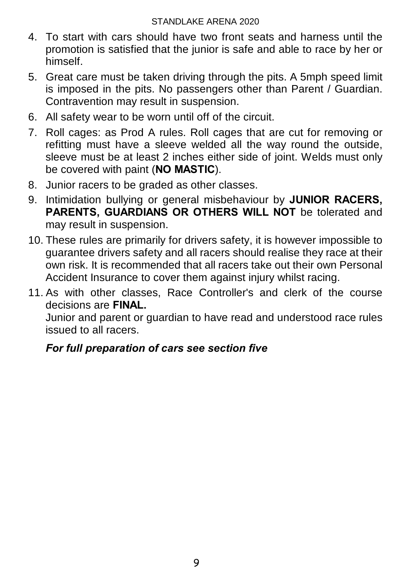- 4. To start with cars should have two front seats and harness until the promotion is satisfied that the junior is safe and able to race by her or himself.
- 5. Great care must be taken driving through the pits. A 5mph speed limit is imposed in the pits. No passengers other than Parent / Guardian. Contravention may result in suspension.
- 6. All safety wear to be worn until off of the circuit.
- 7. Roll cages: as Prod A rules. Roll cages that are cut for removing or refitting must have a sleeve welded all the way round the outside, sleeve must be at least 2 inches either side of joint. Welds must only be covered with paint (**NO MASTIC**).
- 8. Junior racers to be graded as other classes.
- 9. Intimidation bullying or general misbehaviour by **JUNIOR RACERS, PARENTS, GUARDIANS OR OTHERS WILL NOT** be tolerated and may result in suspension.
- 10. These rules are primarily for drivers safety, it is however impossible to guarantee drivers safety and all racers should realise they race at their own risk. It is recommended that all racers take out their own Personal Accident Insurance to cover them against injury whilst racing.
- 11. As with other classes, Race Controller's and clerk of the course decisions are **FINAL.**

Junior and parent or guardian to have read and understood race rules issued to all racers.

# *For full preparation of cars see section five*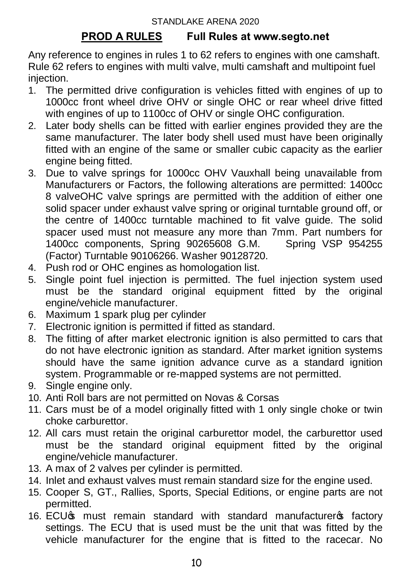### **PROD A RULES Full Rules at www.segto.net**

Any reference to engines in rules 1 to 62 refers to engines with one camshaft. Rule 62 refers to engines with multi valve, multi camshaft and multipoint fuel injection.

- 1. The permitted drive configuration is vehicles fitted with engines of up to 1000cc front wheel drive OHV or single OHC or rear wheel drive fitted with engines of up to 1100cc of OHV or single OHC configuration.
- 2. Later body shells can be fitted with earlier engines provided they are the same manufacturer. The later body shell used must have been originally fitted with an engine of the same or smaller cubic capacity as the earlier engine being fitted.
- 3. Due to valve springs for 1000cc OHV Vauxhall being unavailable from Manufacturers or Factors, the following alterations are permitted: 1400cc 8 valveOHC valve springs are permitted with the addition of either one solid spacer under exhaust valve spring or original turntable ground off, or the centre of 1400cc turntable machined to fit valve guide. The solid spacer used must not measure any more than 7mm. Part numbers for<br>1400cc components. Spring 90265608 G.M. Spring VSP 954255 1400cc components, Spring 90265608 G.M. (Factor) Turntable 90106266. Washer 90128720.
- 4. Push rod or OHC engines as homologation list.
- 5. Single point fuel injection is permitted. The fuel injection system used must be the standard original equipment fitted by the original engine/vehicle manufacturer.
- 6. Maximum 1 spark plug per cylinder
- 7. Electronic ignition is permitted if fitted as standard.
- 8. The fitting of after market electronic ignition is also permitted to cars that do not have electronic ignition as standard. After market ignition systems should have the same ignition advance curve as a standard ignition system. Programmable or re-mapped systems are not permitted.
- 9. Single engine only.
- 10. Anti Roll bars are not permitted on Novas & Corsas
- 11. Cars must be of a model originally fitted with 1 only single choke or twin choke carburettor.
- 12. All cars must retain the original carburettor model, the carburettor used must be the standard original equipment fitted by the original engine/vehicle manufacturer.
- 13. A max of 2 valves per cylinder is permitted.
- 14. Inlet and exhaust valves must remain standard size for the engine used.
- 15. Cooper S, GT., Rallies, Sports, Special Editions, or engine parts are not permitted.
- 16. ECU<sub>S</sub> must remain standard with standard manufacturers factory settings. The ECU that is used must be the unit that was fitted by the vehicle manufacturer for the engine that is fitted to the racecar. No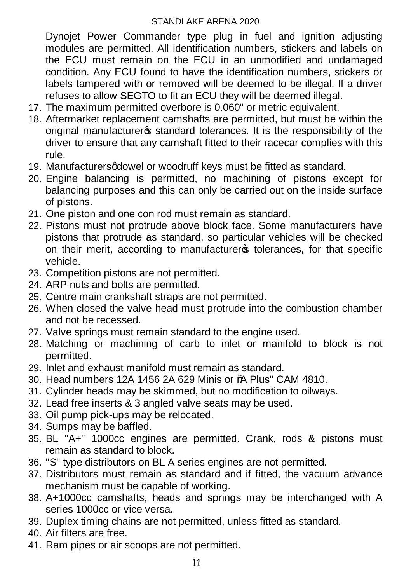Dynojet Power Commander type plug in fuel and ignition adjusting modules are permitted. All identification numbers, stickers and labels on the ECU must remain on the ECU in an unmodified and undamaged condition. Any ECU found to have the identification numbers, stickers or labels tampered with or removed will be deemed to be illegal. If a driver refuses to allow SEGTO to fit an ECU they will be deemed illegal.

- 17. The maximum permitted overbore is 0.060" or metric equivalent.
- 18. Aftermarket replacement camshafts are permitted, but must be within the original manufacturers standard tolerances. It is the responsibility of the driver to ensure that any camshaft fitted to their racecar complies with this rule.
- 19. Manufacturers adowel or woodruff keys must be fitted as standard.
- 20. Engine balancing is permitted, no machining of pistons except for balancing purposes and this can only be carried out on the inside surface of pistons.
- 21. One piston and one con rod must remain as standard.
- 22. Pistons must not protrude above block face. Some manufacturers have pistons that protrude as standard, so particular vehicles will be checked on their merit, according to manufacturers tolerances, for that specific vehicle.
- 23. Competition pistons are not permitted.
- 24. ARP nuts and bolts are permitted.
- 25. Centre main crankshaft straps are not permitted.
- 26. When closed the valve head must protrude into the combustion chamber and not be recessed.
- 27. Valve springs must remain standard to the engine used.
- 28. Matching or machining of carb to inlet or manifold to block is not permitted.
- 29. Inlet and exhaust manifold must remain as standard.
- 30. Head numbers 12A 1456 2A 629 Minis or "A Plus" CAM 4810.
- 31. Cylinder heads may be skimmed, but no modification to oilways.
- 32. Lead free inserts & 3 angled valve seats may be used.
- 33. Oil pump pick-ups may be relocated.
- 34. Sumps may be baffled.
- 35. BL "A+" 1000cc engines are permitted. Crank, rods & pistons must remain as standard to block.
- 36. "S" type distributors on BL A series engines are not permitted.
- 37. Distributors must remain as standard and if fitted, the vacuum advance mechanism must be capable of working.
- 38. A+1000cc camshafts, heads and springs may be interchanged with A series 1000cc or vice versa.
- 39. Duplex timing chains are not permitted, unless fitted as standard.
- 40. Air filters are free.
- 41. Ram pipes or air scoops are not permitted.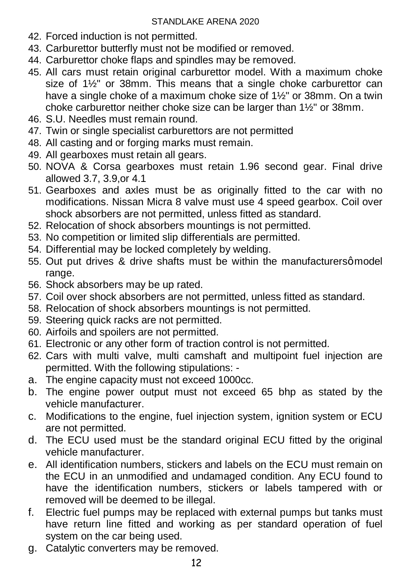- 42. Forced induction is not permitted.
- 43. Carburettor butterfly must not be modified or removed.
- 44. Carburettor choke flaps and spindles may be removed.
- 45. All cars must retain original carburettor model. With a maximum choke size of 1½" or 38mm. This means that a single choke carburettor can have a single choke of a maximum choke size of 1½" or 38mm. On a twin choke carburettor neither choke size can be larger than 1½" or 38mm.
- 46. S.U. Needles must remain round.
- 47. Twin or single specialist carburettors are not permitted
- 48. All casting and or forging marks must remain.
- 49. All gearboxes must retain all gears.
- 50. NOVA & Corsa gearboxes must retain 1.96 second gear. Final drive allowed 3.7, 3.9,or 4.1
- 51. Gearboxes and axles must be as originally fitted to the car with no modifications. Nissan Micra 8 valve must use 4 speed gearbox. Coil over shock absorbers are not permitted, unless fitted as standard.
- 52. Relocation of shock absorbers mountings is not permitted.
- 53. No competition or limited slip differentials are permitted.
- 54. Differential may be locked completely by welding.
- 55. Out put drives & drive shafts must be within the manufacturersq model range.
- 56. Shock absorbers may be up rated.
- 57. Coil over shock absorbers are not permitted, unless fitted as standard.
- 58. Relocation of shock absorbers mountings is not permitted.
- 59. Steering quick racks are not permitted.
- 60. Airfoils and spoilers are not permitted.
- 61. Electronic or any other form of traction control is not permitted.
- 62. Cars with multi valve, multi camshaft and multipoint fuel injection are permitted. With the following stipulations: -
- a. The engine capacity must not exceed 1000cc.
- b. The engine power output must not exceed 65 bhp as stated by the vehicle manufacturer.
- c. Modifications to the engine, fuel injection system, ignition system or ECU are not permitted.
- d. The ECU used must be the standard original ECU fitted by the original vehicle manufacturer.
- e. All identification numbers, stickers and labels on the ECU must remain on the ECU in an unmodified and undamaged condition. Any ECU found to have the identification numbers, stickers or labels tampered with or removed will be deemed to be illegal.
- f. Electric fuel pumps may be replaced with external pumps but tanks must have return line fitted and working as per standard operation of fuel system on the car being used.
- g. Catalytic converters may be removed.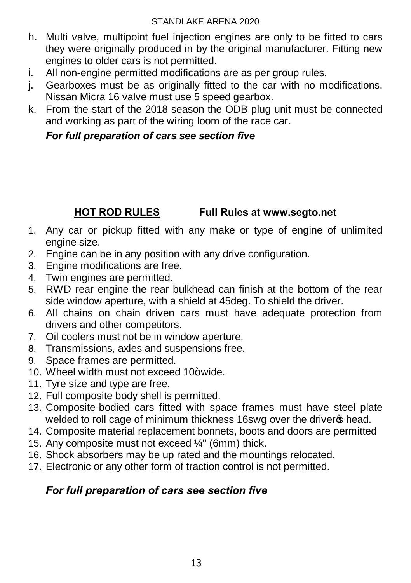- h. Multi valve, multipoint fuel injection engines are only to be fitted to cars they were originally produced in by the original manufacturer. Fitting new engines to older cars is not permitted.
- i. All non-engine permitted modifications are as per group rules.
- j. Gearboxes must be as originally fitted to the car with no modifications. Nissan Micra 16 valve must use 5 speed gearbox.
- k. From the start of the 2018 season the ODB plug unit must be connected and working as part of the wiring loom of the race car.

#### *For full preparation of cars see section five*

# **HOT ROD RULES Full Rules at www.segto.net**

- 1. Any car or pickup fitted with any make or type of engine of unlimited engine size.
- 2. Engine can be in any position with any drive configuration.
- 3. Engine modifications are free.
- 4. Twin engines are permitted.
- 5. RWD rear engine the rear bulkhead can finish at the bottom of the rear side window aperture, with a shield at 45deg. To shield the driver.
- 6. All chains on chain driven cars must have adequate protection from drivers and other competitors.
- 7. Oil coolers must not be in window aperture.
- 8. Transmissions, axles and suspensions free.
- 9. Space frames are permitted.
- 10. Wheel width must not exceed 10+ wide.
- 11. Tyre size and type are free.
- 12. Full composite body shell is permitted.
- 13. Composite-bodied cars fitted with space frames must have steel plate welded to roll cage of minimum thickness 16swg over the driver of head.
- 14. Composite material replacement bonnets, boots and doors are permitted
- 15. Any composite must not exceed ¼" (6mm) thick.
- 16. Shock absorbers may be up rated and the mountings relocated.
- 17. Electronic or any other form of traction control is not permitted.

# *For full preparation of cars see section five*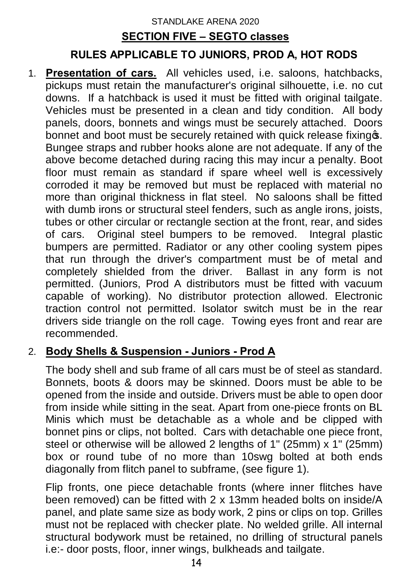# STANDLAKE ARENA 2020 **SECTION FIVE – SEGTO classes**

## **RULES APPLICABLE TO JUNIORS, PROD A, HOT RODS**

1. **Presentation of cars.** All vehicles used, i.e. saloons, hatchbacks, pickups must retain the manufacturer's original silhouette, i.e. no cut downs. If a hatchback is used it must be fitted with original tailgate. Vehicles must be presented in a clean and tidy condition. All body panels, doors, bonnets and wings must be securely attached. Doors bonnet and boot must be securely retained with quick release fixings. Bungee straps and rubber hooks alone are not adequate. If any of the above become detached during racing this may incur a penalty. Boot floor must remain as standard if spare wheel well is excessively corroded it may be removed but must be replaced with material no more than original thickness in flat steel. No saloons shall be fitted with dumb irons or structural steel fenders, such as angle irons, joists, tubes or other circular or rectangle section at the front, rear, and sides of cars. Original steel bumpers to be removed. Integral plastic bumpers are permitted. Radiator or any other cooling system pipes that run through the driver's compartment must be of metal and completely shielded from the driver. Ballast in any form is not permitted. (Juniors, Prod A distributors must be fitted with vacuum capable of working). No distributor protection allowed. Electronic traction control not permitted. Isolator switch must be in the rear drivers side triangle on the roll cage. Towing eyes front and rear are recommended.

#### 2. **Body Shells & Suspension - Juniors - Prod A**

The body shell and sub frame of all cars must be of steel as standard. Bonnets, boots & doors may be skinned. Doors must be able to be opened from the inside and outside. Drivers must be able to open door from inside while sitting in the seat. Apart from one-piece fronts on BL Minis which must be detachable as a whole and be clipped with bonnet pins or clips, not bolted. Cars with detachable one piece front, steel or otherwise will be allowed 2 lengths of 1" (25mm) x 1" (25mm) box or round tube of no more than 10swg bolted at both ends diagonally from flitch panel to subframe, (see figure 1).

Flip fronts, one piece detachable fronts (where inner flitches have been removed) can be fitted with 2 x 13mm headed bolts on inside/A panel, and plate same size as body work, 2 pins or clips on top. Grilles must not be replaced with checker plate. No welded grille. All internal structural bodywork must be retained, no drilling of structural panels i.e:- door posts, floor, inner wings, bulkheads and tailgate.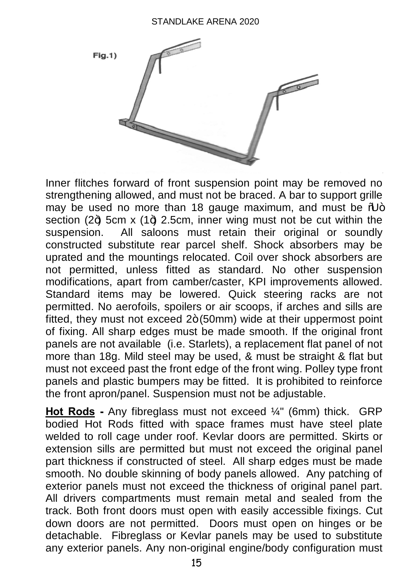

Inner flitches forward of front suspension point may be removed no strengthening allowed, and must not be braced. A bar to support grille may be used no more than 18 gauge maximum, and must be  $%$ section (24) 5cm x (14) 2.5cm, inner wing must not be cut within the suspension. All saloons must retain their original or soundly constructed substitute rear parcel shelf. Shock absorbers may be uprated and the mountings relocated. Coil over shock absorbers are not permitted, unless fitted as standard. No other suspension modifications, apart from camber/caster, KPI improvements allowed. Standard items may be lowered. Quick steering racks are not permitted. No aerofoils, spoilers or air scoops, if arches and sills are fitted, they must not exceed  $2+(50$ mm) wide at their uppermost point of fixing. All sharp edges must be made smooth. If the original front panels are not available (i.e. Starlets), a replacement flat panel of not more than 18g. Mild steel may be used, & must be straight & flat but must not exceed past the front edge of the front wing. Polley type front panels and plastic bumpers may be fitted. It is prohibited to reinforce the front apron/panel. Suspension must not be adjustable.

**Hot Rods -** Any fibreglass must not exceed ¼" (6mm) thick. GRP bodied Hot Rods fitted with space frames must have steel plate welded to roll cage under roof. Kevlar doors are permitted. Skirts or extension sills are permitted but must not exceed the original panel part thickness if constructed of steel. All sharp edges must be made smooth. No double skinning of body panels allowed. Any patching of exterior panels must not exceed the thickness of original panel part. All drivers compartments must remain metal and sealed from the track. Both front doors must open with easily accessible fixings. Cut down doors are not permitted. Doors must open on hinges or be detachable. Fibreglass or Kevlar panels may be used to substitute any exterior panels. Any non-original engine/body configuration must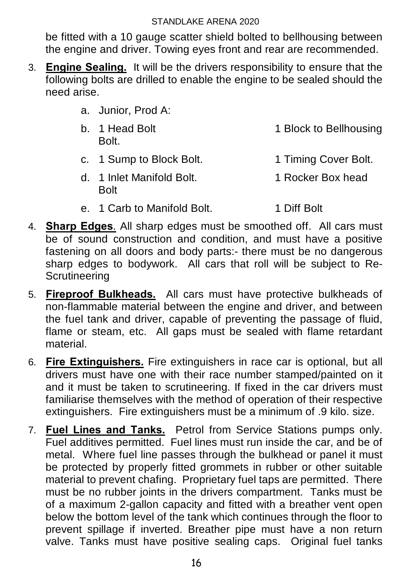be fitted with a 10 gauge scatter shield bolted to bellhousing between the engine and driver. Towing eyes front and rear are recommended.

- 3. **Engine Sealing.** It will be the drivers responsibility to ensure that the following bolts are drilled to enable the engine to be sealed should the need arise.
	- a. Junior, Prod A:
	- b. 1 Head Bolt 1 Block to Bellhousing Bolt.
	- c. 1 Sump to Block Bolt. 1 Timing Cover Bolt.
	- d. 1 Inlet Manifold Bolt. 1 Rocker Box head Bolt
	- e. 1 Carb to Manifold Bolt. 1 Diff Bolt
- 4. **Sharp Edges**. All sharp edges must be smoothed off. All cars must be of sound construction and condition, and must have a positive fastening on all doors and body parts:- there must be no dangerous sharp edges to bodywork. All cars that roll will be subject to Re-**Scrutineering**
- 5. **Fireproof Bulkheads.** All cars must have protective bulkheads of non-flammable material between the engine and driver, and between the fuel tank and driver, capable of preventing the passage of fluid, flame or steam, etc. All gaps must be sealed with flame retardant material.
- 6. **Fire Extinguishers.** Fire extinguishers in race car is optional, but all drivers must have one with their race number stamped/painted on it and it must be taken to scrutineering. If fixed in the car drivers must familiarise themselves with the method of operation of their respective extinguishers. Fire extinguishers must be a minimum of .9 kilo. size.
- 7. **Fuel Lines and Tanks.** Petrol from Service Stations pumps only. Fuel additives permitted. Fuel lines must run inside the car, and be of metal. Where fuel line passes through the bulkhead or panel it must be protected by properly fitted grommets in rubber or other suitable material to prevent chafing. Proprietary fuel taps are permitted. There must be no rubber joints in the drivers compartment. Tanks must be of a maximum 2-gallon capacity and fitted with a breather vent open below the bottom level of the tank which continues through the floor to prevent spillage if inverted. Breather pipe must have a non return valve. Tanks must have positive sealing caps. Original fuel tanks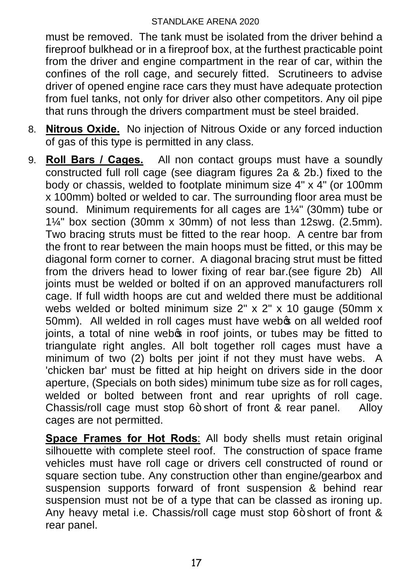must be removed. The tank must be isolated from the driver behind a fireproof bulkhead or in a fireproof box, at the furthest practicable point from the driver and engine compartment in the rear of car, within the confines of the roll cage, and securely fitted. Scrutineers to advise driver of opened engine race cars they must have adequate protection from fuel tanks, not only for driver also other competitors. Any oil pipe that runs through the drivers compartment must be steel braided.

- 8. **Nitrous Oxide.** No injection of Nitrous Oxide or any forced induction of gas of this type is permitted in any class.
- 9. **Roll Bars / Cages.** All non contact groups must have a soundly constructed full roll cage (see diagram figures 2a & 2b.) fixed to the body or chassis, welded to footplate minimum size 4" x 4" (or 100mm x 100mm) bolted or welded to car. The surrounding floor area must be sound. Minimum requirements for all cages are 1¼" (30mm) tube or 1¼" box section (30mm x 30mm) of not less than 12swg. (2.5mm). Two bracing struts must be fitted to the rear hoop. A centre bar from the front to rear between the main hoops must be fitted, or this may be diagonal form corner to corner. A diagonal bracing strut must be fitted from the drivers head to lower fixing of rear bar.(see figure 2b) All joints must be welded or bolted if on an approved manufacturers roll cage. If full width hoops are cut and welded there must be additional webs welded or bolted minimum size 2" x 2" x 10 gauge (50mm x 50mm). All welded in roll cages must have webs on all welded roof joints, a total of nine webos in roof joints, or tubes may be fitted to triangulate right angles. All bolt together roll cages must have a minimum of two (2) bolts per joint if not they must have webs. A 'chicken bar' must be fitted at hip height on drivers side in the door aperture, (Specials on both sides) minimum tube size as for roll cages, welded or bolted between front and rear uprights of roll cage. Chassis/roll cage must stop  $6+$  short of front & rear panel. Alloy cages are not permitted.

**Space Frames for Hot Rods**: All body shells must retain original silhouette with complete steel roof. The construction of space frame vehicles must have roll cage or drivers cell constructed of round or square section tube. Any construction other than engine/gearbox and suspension supports forward of front suspension & behind rear suspension must not be of a type that can be classed as ironing up. Any heavy metal i.e. Chassis/roll cage must stop  $6+$  short of front  $\&$ rear panel.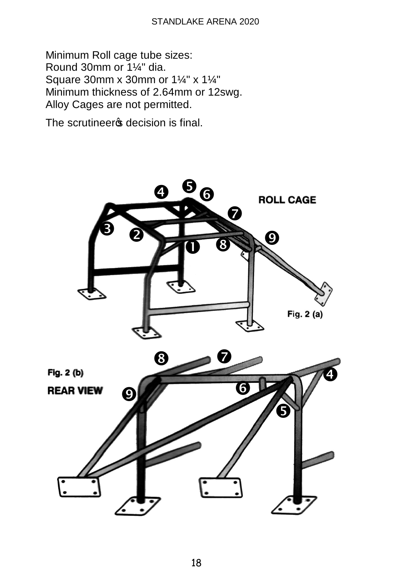Minimum Roll cage tube sizes: Round 30mm or 1¼" dia. Square 30mm x 30mm or 1¼" x 1¼" Minimum thickness of 2.64mm or 12swg. Alloy Cages are not permitted.

The scrutineer of decision is final.



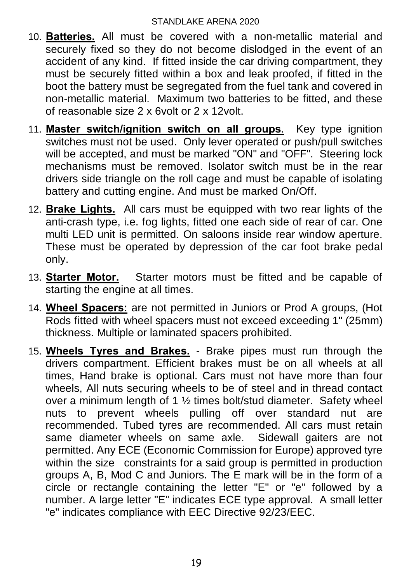- 10. **Batteries.** All must be covered with a non-metallic material and securely fixed so they do not become dislodged in the event of an accident of any kind. If fitted inside the car driving compartment, they must be securely fitted within a box and leak proofed, if fitted in the boot the battery must be segregated from the fuel tank and covered in non-metallic material. Maximum two batteries to be fitted, and these of reasonable size 2 x 6volt or 2 x 12volt.
- 11. **Master switch/ignition switch on all groups**. Key type ignition switches must not be used. Only lever operated or push/pull switches will be accepted, and must be marked "ON" and "OFF". Steering lock mechanisms must be removed. Isolator switch must be in the rear drivers side triangle on the roll cage and must be capable of isolating battery and cutting engine. And must be marked On/Off.
- 12. **Brake Lights.** All cars must be equipped with two rear lights of the anti-crash type, i.e. fog lights, fitted one each side of rear of car. One multi LED unit is permitted. On saloons inside rear window aperture. These must be operated by depression of the car foot brake pedal only.
- 13. **Starter Motor.** Starter motors must be fitted and be capable of starting the engine at all times.
- 14. **Wheel Spacers:** are not permitted in Juniors or Prod A groups, (Hot Rods fitted with wheel spacers must not exceed exceeding 1" (25mm) thickness. Multiple or laminated spacers prohibited.
- 15. **Wheels Tyres and Brakes.** Brake pipes must run through the drivers compartment. Efficient brakes must be on all wheels at all times, Hand brake is optional. Cars must not have more than four wheels, All nuts securing wheels to be of steel and in thread contact over a minimum length of 1 ½ times bolt/stud diameter. Safety wheel nuts to prevent wheels pulling off over standard nut are recommended. Tubed tyres are recommended. All cars must retain same diameter wheels on same axle. Sidewall gaiters are not permitted. Any ECE (Economic Commission for Europe) approved tyre within the size constraints for a said group is permitted in production groups A, B, Mod C and Juniors. The E mark will be in the form of a circle or rectangle containing the letter "E" or "e" followed by a number. A large letter "E" indicates ECE type approval. A small letter "e" indicates compliance with EEC Directive 92/23/EEC.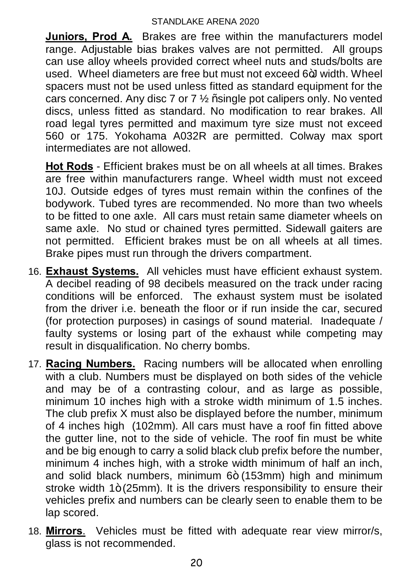**Juniors, Prod A.** Brakes are free within the manufacturers model range. Adjustable bias brakes valves are not permitted. All groups can use alloy wheels provided correct wheel nuts and studs/bolts are used. Wheel diameters are free but must not exceed 6+J width. Wheel spacers must not be used unless fitted as standard equipment for the cars concerned. Any disc 7 or 7  $\frac{1}{2}$  % single pot calipers only. No vented discs, unless fitted as standard. No modification to rear brakes. All road legal tyres permitted and maximum tyre size must not exceed 560 or 175. Yokohama A032R are permitted. Colway max sport intermediates are not allowed.

**Hot Rods** - Efficient brakes must be on all wheels at all times. Brakes are free within manufacturers range. Wheel width must not exceed 10J. Outside edges of tyres must remain within the confines of the bodywork. Tubed tyres are recommended. No more than two wheels to be fitted to one axle. All cars must retain same diameter wheels on same axle. No stud or chained tyres permitted. Sidewall gaiters are not permitted. Efficient brakes must be on all wheels at all times. Brake pipes must run through the drivers compartment.

- 16. **Exhaust Systems.** All vehicles must have efficient exhaust system. A decibel reading of 98 decibels measured on the track under racing conditions will be enforced. The exhaust system must be isolated from the driver i.e. beneath the floor or if run inside the car, secured (for protection purposes) in casings of sound material. Inadequate / faulty systems or losing part of the exhaust while competing may result in disqualification. No cherry bombs.
- 17. **Racing Numbers.** Racing numbers will be allocated when enrolling with a club. Numbers must be displayed on both sides of the vehicle and may be of a contrasting colour, and as large as possible, minimum 10 inches high with a stroke width minimum of 1.5 inches. The club prefix X must also be displayed before the number, minimum of 4 inches high (102mm). All cars must have a roof fin fitted above the gutter line, not to the side of vehicle. The roof fin must be white and be big enough to carry a solid black club prefix before the number, minimum 4 inches high, with a stroke width minimum of half an inch, and solid black numbers, minimum  $6+ (153 \text{mm})$  high and minimum stroke width  $1+(25mm)$ . It is the drivers responsibility to ensure their vehicles prefix and numbers can be clearly seen to enable them to be lap scored.
- 18. **Mirrors**. Vehicles must be fitted with adequate rear view mirror/s, glass is not recommended.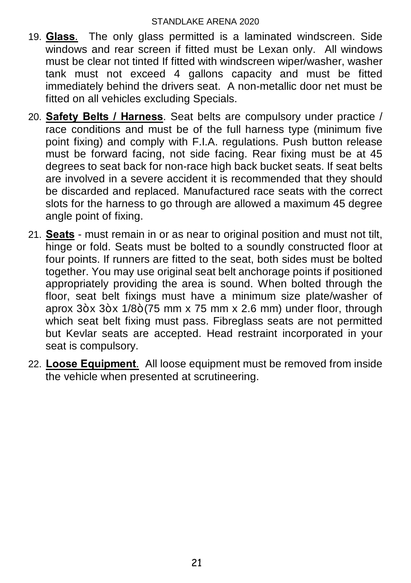- 19. **Glass**. The only glass permitted is a laminated windscreen. Side windows and rear screen if fitted must be Lexan only. All windows must be clear not tinted If fitted with windscreen wiper/washer, washer tank must not exceed 4 gallons capacity and must be fitted immediately behind the drivers seat. A non-metallic door net must be fitted on all vehicles excluding Specials.
- 20. **Safety Belts / Harness**. Seat belts are compulsory under practice / race conditions and must be of the full harness type (minimum five point fixing) and comply with F.I.A. regulations. Push button release must be forward facing, not side facing. Rear fixing must be at 45 degrees to seat back for non-race high back bucket seats. If seat belts are involved in a severe accident it is recommended that they should be discarded and replaced. Manufactured race seats with the correct slots for the harness to go through are allowed a maximum 45 degree angle point of fixing.
- 21. **Seats** must remain in or as near to original position and must not tilt, hinge or fold. Seats must be bolted to a soundly constructed floor at four points. If runners are fitted to the seat, both sides must be bolted together. You may use original seat belt anchorage points if positioned appropriately providing the area is sound. When bolted through the floor, seat belt fixings must have a minimum size plate/washer of aprox  $3+x$   $3+x$   $1/8+(75$  mm x 75 mm x 2.6 mm) under floor, through which seat belt fixing must pass. Fibreglass seats are not permitted but Kevlar seats are accepted. Head restraint incorporated in your seat is compulsory.
- 22. **Loose Equipment**. All loose equipment must be removed from inside the vehicle when presented at scrutineering.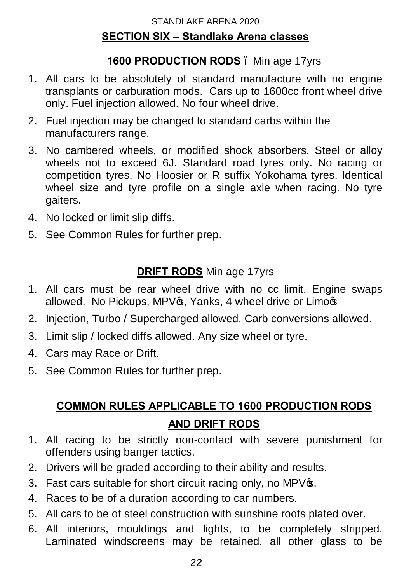#### **1600 PRODUCTION RODS** – Min age 17yrs

- 1. All cars to be absolutely of standard manufacture with no engine transplants or carburation mods. Cars up to 1600cc front wheel drive only. Fuel injection allowed. No four wheel drive.
- 2. Fuel injection may be changed to standard carbs within the manufacturers range.
- 3. No cambered wheels, or modified shock absorbers. Steel or alloy wheels not to exceed 6J. Standard road tyres only. No racing or competition tyres. No Hoosier or R suffix Yokohama tyres. Identical wheel size and tyre profile on a single axle when racing. No tyre gaiters.
- 4. No locked or limit slip diffs.
- 5. See Common Rules for further prep.

# **DRIFT RODS** Min age 17yrs

- 1. All cars must be rear wheel drive with no cc limit. Engine swaps allowed. No Pickups, MPV $\circledast$ , Yanks, 4 wheel drive or Limo $\circledast$
- 2. Injection, Turbo / Supercharged allowed. Carb conversions allowed.
- 3. Limit slip / locked diffs allowed. Any size wheel or tyre.
- 4. Cars may Race or Drift.
- 5. See Common Rules for further prep.

# **COMMON RULES APPLICABLE TO 1600 PRODUCTION RODS AND DRIFT RODS**

- 1. All racing to be strictly non-contact with severe punishment for offenders using banger tactics.
- 2. Drivers will be graded according to their ability and results.
- 3. Fast cars suitable for short circuit racing only, no MPV $\sigma$ .
- 4. Races to be of a duration according to car numbers.
- 5. All cars to be of steel construction with sunshine roofs plated over.
- 6. All interiors, mouldings and lights, to be completely stripped. Laminated windscreens may be retained, all other glass to be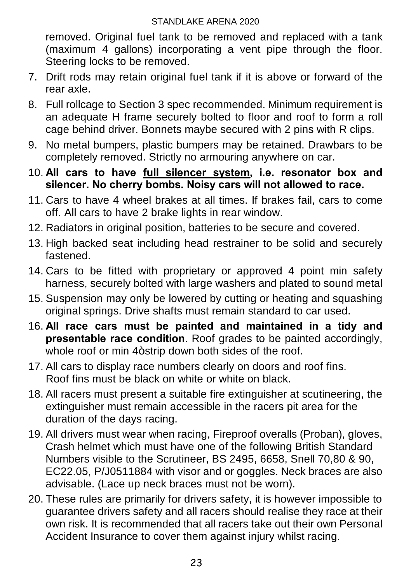removed. Original fuel tank to be removed and replaced with a tank (maximum 4 gallons) incorporating a vent pipe through the floor. Steering locks to be removed.

- 7. Drift rods may retain original fuel tank if it is above or forward of the rear axle.
- 8. Full rollcage to Section 3 spec recommended. Minimum requirement is an adequate H frame securely bolted to floor and roof to form a roll cage behind driver. Bonnets maybe secured with 2 pins with R clips.
- 9. No metal bumpers, plastic bumpers may be retained. Drawbars to be completely removed. Strictly no armouring anywhere on car.
- 10. **All cars to have full silencer system, i.e. resonator box and silencer. No cherry bombs. Noisy cars will not allowed to race.**
- 11. Cars to have 4 wheel brakes at all times. If brakes fail, cars to come off. All cars to have 2 brake lights in rear window.
- 12. Radiators in original position, batteries to be secure and covered.
- 13. High backed seat including head restrainer to be solid and securely fastened.
- 14. Cars to be fitted with proprietary or approved 4 point min safety harness, securely bolted with large washers and plated to sound metal
- 15. Suspension may only be lowered by cutting or heating and squashing original springs. Drive shafts must remain standard to car used.
- 16. **All race cars must be painted and maintained in a tidy and presentable race condition**. Roof grades to be painted accordingly, whole roof or min 4+strip down both sides of the roof.
- 17. All cars to display race numbers clearly on doors and roof fins. Roof fins must be black on white or white on black.
- 18. All racers must present a suitable fire extinguisher at scutineering, the extinguisher must remain accessible in the racers pit area for the duration of the days racing.
- 19. All drivers must wear when racing, Fireproof overalls (Proban), gloves, Crash helmet which must have one of the following British Standard Numbers visible to the Scrutineer, BS 2495, 6658, Snell 70,80 & 90, EC22.05, P/J0511884 with visor and or goggles. Neck braces are also advisable. (Lace up neck braces must not be worn).
- 20. These rules are primarily for drivers safety, it is however impossible to guarantee drivers safety and all racers should realise they race at their own risk. It is recommended that all racers take out their own Personal Accident Insurance to cover them against injury whilst racing.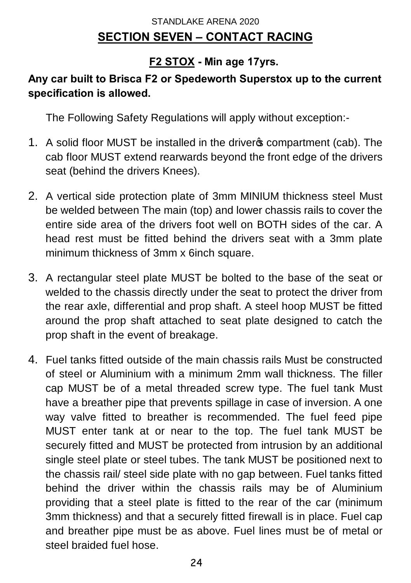# STANDLAKE ARENA 2020 **SECTION SEVEN – CONTACT RACING**

# **F2 STOX - Min age 17yrs.**

### **Any car built to Brisca F2 or Spedeworth Superstox up to the current specification is allowed.**

The Following Safety Regulations will apply without exception:-

- 1. A solid floor MUST be installed in the driver ocompartment (cab). The cab floor MUST extend rearwards beyond the front edge of the drivers seat (behind the drivers Knees).
- 2. A vertical side protection plate of 3mm MINIUM thickness steel Must be welded between The main (top) and lower chassis rails to cover the entire side area of the drivers foot well on BOTH sides of the car. A head rest must be fitted behind the drivers seat with a 3mm plate minimum thickness of 3mm x 6inch square.
- 3. A rectangular steel plate MUST be bolted to the base of the seat or welded to the chassis directly under the seat to protect the driver from the rear axle, differential and prop shaft. A steel hoop MUST be fitted around the prop shaft attached to seat plate designed to catch the prop shaft in the event of breakage.
- 4. Fuel tanks fitted outside of the main chassis rails Must be constructed of steel or Aluminium with a minimum 2mm wall thickness. The filler cap MUST be of a metal threaded screw type. The fuel tank Must have a breather pipe that prevents spillage in case of inversion. A one way valve fitted to breather is recommended. The fuel feed pipe MUST enter tank at or near to the top. The fuel tank MUST be securely fitted and MUST be protected from intrusion by an additional single steel plate or steel tubes. The tank MUST be positioned next to the chassis rail/ steel side plate with no gap between. Fuel tanks fitted behind the driver within the chassis rails may be of Aluminium providing that a steel plate is fitted to the rear of the car (minimum 3mm thickness) and that a securely fitted firewall is in place. Fuel cap and breather pipe must be as above. Fuel lines must be of metal or steel braided fuel hose.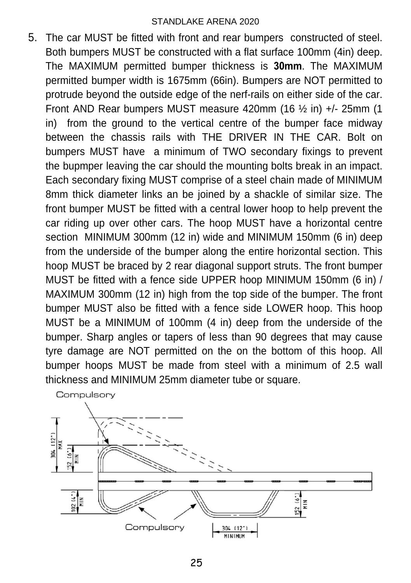5. The car MUST be fitted with front and rear bumpers constructed of steel. Both bumpers MUST be constructed with a flat surface 100mm (4in) deep. The MAXIMUM permitted bumper thickness is **30mm**. The MAXIMUM permitted bumper width is 1675mm (66in). Bumpers are NOT permitted to protrude beyond the outside edge of the nerf-rails on either side of the car. Front AND Rear bumpers MUST measure 420mm (16 ½ in) +/- 25mm (1 in) from the ground to the vertical centre of the bumper face midway between the chassis rails with THE DRIVER IN THE CAR. Bolt on bumpers MUST have a minimum of TWO secondary fixings to prevent the bupmper leaving the car should the mounting bolts break in an impact. Each secondary fixing MUST comprise of a steel chain made of MINIMUM 8mm thick diameter links an be joined by a shackle of similar size. The front bumper MUST be fitted with a central lower hoop to help prevent the car riding up over other cars. The hoop MUST have a horizontal centre section MINIMUM 300mm (12 in) wide and MINIMUM 150mm (6 in) deep from the underside of the bumper along the entire horizontal section. This hoop MUST be braced by 2 rear diagonal support struts. The front bumper MUST be fitted with a fence side UPPER hoop MINIMUM 150mm (6 in) / MAXIMUM 300mm (12 in) high from the top side of the bumper. The front bumper MUST also be fitted with a fence side LOWER hoop. This hoop MUST be a MINIMUM of 100mm (4 in) deep from the underside of the bumper. Sharp angles or tapers of less than 90 degrees that may cause tyre damage are NOT permitted on the on the bottom of this hoop. All bumper hoops MUST be made from steel with a minimum of 2.5 wall thickness and MINIMUM 25mm diameter tube or square.



25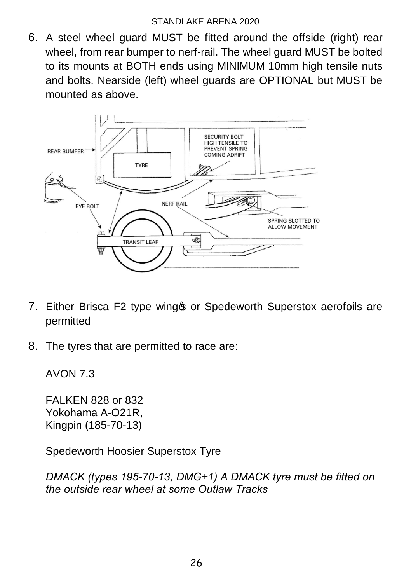6. A steel wheel guard MUST be fitted around the offside (right) rear wheel, from rear bumper to nerf-rail. The wheel guard MUST be bolted to its mounts at BOTH ends using MINIMUM 10mm high tensile nuts and bolts. Nearside (left) wheel guards are OPTIONAL but MUST be mounted as above.



- 7. Either Brisca F2 type wing tor Spedeworth Superstox aerofoils are permitted
- 8. The tyres that are permitted to race are:

AVON 7.3

FALKEN 828 or 832 Yokohama A-O21R, Kingpin (185-70-13)

Spedeworth Hoosier Superstox Tyre

*DMACK (types 195-70-13, DMG+1) A DMACK tyre must be fitted on the outside rear wheel at some Outlaw Tracks*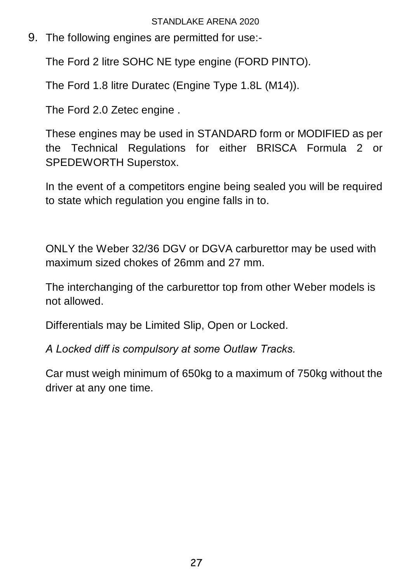9. The following engines are permitted for use:-

The Ford 2 litre SOHC NE type engine (FORD PINTO).

The Ford 1.8 litre Duratec (Engine Type 1.8L (M14)).

The Ford 2.0 Zetec engine .

These engines may be used in STANDARD form or MODIFIED as per the Technical Regulations for either BRISCA Formula 2 or SPEDEWORTH Superstox.

In the event of a competitors engine being sealed you will be required to state which regulation you engine falls in to.

ONLY the Weber 32/36 DGV or DGVA carburettor may be used with maximum sized chokes of 26mm and 27 mm.

The interchanging of the carburettor top from other Weber models is not allowed.

Differentials may be Limited Slip, Open or Locked.

*A Locked diff is compulsory at some Outlaw Tracks.*

Car must weigh minimum of 650kg to a maximum of 750kg without the driver at any one time.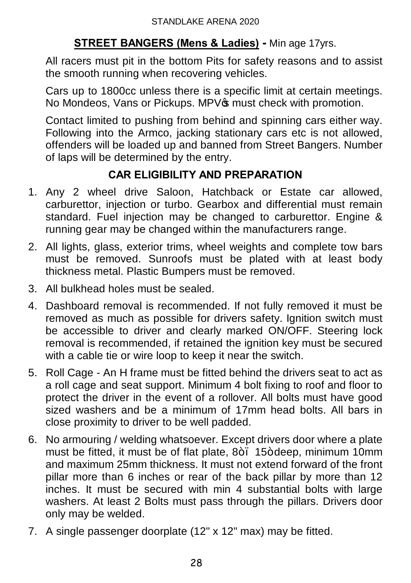## **STREET BANGERS (Mens & Ladies) -** Min age 17yrs.

All racers must pit in the bottom Pits for safety reasons and to assist the smooth running when recovering vehicles.

Cars up to 1800cc unless there is a specific limit at certain meetings. No Mondeos, Vans or Pickups. MPV<sub>®</sub> must check with promotion.

Contact limited to pushing from behind and spinning cars either way. Following into the Armco, jacking stationary cars etc is not allowed, offenders will be loaded up and banned from Street Bangers. Number of laps will be determined by the entry.

# **CAR ELIGIBILITY AND PREPARATION**

- 1. Any 2 wheel drive Saloon, Hatchback or Estate car allowed, carburettor, injection or turbo. Gearbox and differential must remain standard. Fuel injection may be changed to carburettor. Engine & running gear may be changed within the manufacturers range.
- 2. All lights, glass, exterior trims, wheel weights and complete tow bars must be removed. Sunroofs must be plated with at least body thickness metal. Plastic Bumpers must be removed.
- 3. All bulkhead holes must be sealed.
- 4. Dashboard removal is recommended. If not fully removed it must be removed as much as possible for drivers safety. Ignition switch must be accessible to driver and clearly marked ON/OFF. Steering lock removal is recommended, if retained the ignition key must be secured with a cable tie or wire loop to keep it near the switch.
- 5. Roll Cage An H frame must be fitted behind the drivers seat to act as a roll cage and seat support. Minimum 4 bolt fixing to roof and floor to protect the driver in the event of a rollover. All bolts must have good sized washers and be a minimum of 17mm head bolts. All bars in close proximity to driver to be well padded.
- 6. No armouring / welding whatsoever. Except drivers door where a plate must be fitted, it must be of flat plate,  $8+$ , 15+ deep, minimum 10mm and maximum 25mm thickness. It must not extend forward of the front pillar more than 6 inches or rear of the back pillar by more than 12 inches. It must be secured with min 4 substantial bolts with large washers. At least 2 Bolts must pass through the pillars. Drivers door only may be welded.
- 7. A single passenger doorplate (12" x 12" max) may be fitted.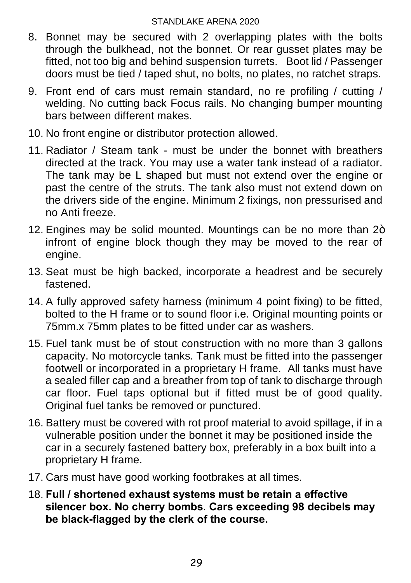- 8. Bonnet may be secured with 2 overlapping plates with the bolts through the bulkhead, not the bonnet. Or rear gusset plates may be fitted, not too big and behind suspension turrets. Boot lid / Passenger doors must be tied / taped shut, no bolts, no plates, no ratchet straps.
- 9. Front end of cars must remain standard, no re profiling / cutting / welding. No cutting back Focus rails. No changing bumper mounting bars between different makes.
- 10. No front engine or distributor protection allowed.
- 11. Radiator / Steam tank must be under the bonnet with breathers directed at the track. You may use a water tank instead of a radiator. The tank may be L shaped but must not extend over the engine or past the centre of the struts. The tank also must not extend down on the drivers side of the engine. Minimum 2 fixings, non pressurised and no Anti freeze.
- 12. Engines may be solid mounted. Mountings can be no more than  $2+$ infront of engine block though they may be moved to the rear of engine.
- 13. Seat must be high backed, incorporate a headrest and be securely fastened.
- 14. A fully approved safety harness (minimum 4 point fixing) to be fitted, bolted to the H frame or to sound floor i.e. Original mounting points or 75mm.x 75mm plates to be fitted under car as washers.
- 15. Fuel tank must be of stout construction with no more than 3 gallons capacity. No motorcycle tanks. Tank must be fitted into the passenger footwell or incorporated in a proprietary H frame. All tanks must have a sealed filler cap and a breather from top of tank to discharge through car floor. Fuel taps optional but if fitted must be of good quality. Original fuel tanks be removed or punctured.
- 16. Battery must be covered with rot proof material to avoid spillage, if in a vulnerable position under the bonnet it may be positioned inside the car in a securely fastened battery box, preferably in a box built into a proprietary H frame.
- 17. Cars must have good working footbrakes at all times.
- 18. **Full / shortened exhaust systems must be retain a effective silencer box. No cherry bombs**. **Cars exceeding 98 decibels may be black-flagged by the clerk of the course.**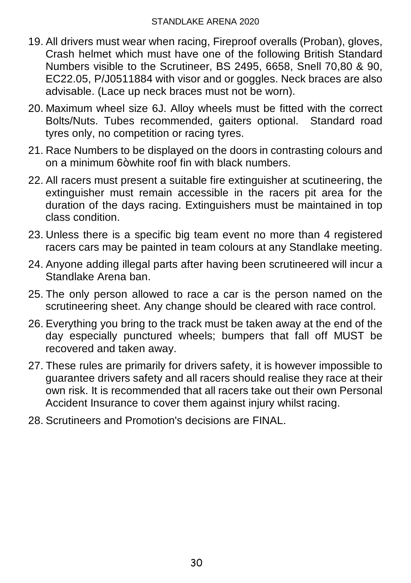- 19. All drivers must wear when racing, Fireproof overalls (Proban), gloves, Crash helmet which must have one of the following British Standard Numbers visible to the Scrutineer, BS 2495, 6658, Snell 70,80 & 90, EC22.05, P/J0511884 with visor and or goggles. Neck braces are also advisable. (Lace up neck braces must not be worn).
- 20. Maximum wheel size 6J. Alloy wheels must be fitted with the correct Bolts/Nuts. Tubes recommended, gaiters optional. Standard road tyres only, no competition or racing tyres.
- 21. Race Numbers to be displayed on the doors in contrasting colours and on a minimum  $6+$  white roof fin with black numbers.
- 22. All racers must present a suitable fire extinguisher at scutineering, the extinguisher must remain accessible in the racers pit area for the duration of the days racing. Extinguishers must be maintained in top class condition.
- 23. Unless there is a specific big team event no more than 4 registered racers cars may be painted in team colours at any Standlake meeting.
- 24. Anyone adding illegal parts after having been scrutineered will incur a Standlake Arena ban.
- 25. The only person allowed to race a car is the person named on the scrutineering sheet. Any change should be cleared with race control.
- 26. Everything you bring to the track must be taken away at the end of the day especially punctured wheels; bumpers that fall off MUST be recovered and taken away.
- 27. These rules are primarily for drivers safety, it is however impossible to guarantee drivers safety and all racers should realise they race at their own risk. It is recommended that all racers take out their own Personal Accident Insurance to cover them against injury whilst racing.
- 28. Scrutineers and Promotion's decisions are FINAL.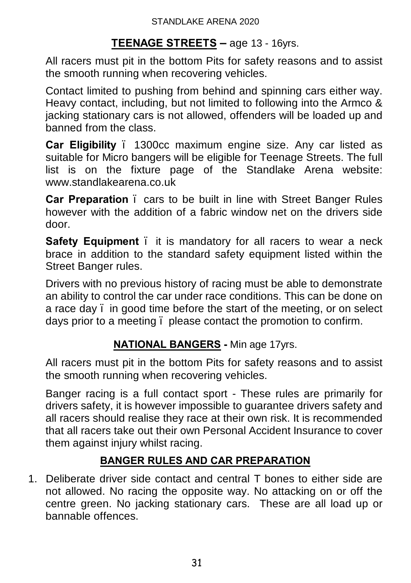#### **TEENAGE STREETS –** age 13 - 16yrs.

All racers must pit in the bottom Pits for safety reasons and to assist the smooth running when recovering vehicles.

Contact limited to pushing from behind and spinning cars either way. Heavy contact, including, but not limited to following into the Armco & jacking stationary cars is not allowed, offenders will be loaded up and banned from the class.

**Car Eligibility** – 1300cc maximum engine size. Any car listed as suitable for Micro bangers will be eligible for Teenage Streets. The full list is on the fixture page of the Standlake Arena website: www.standlakearena.co.uk

**Car Preparation** – cars to be built in line with Street Banger Rules however with the addition of a fabric window net on the drivers side door.

**Safety Equipment** . it is mandatory for all racers to wear a neck brace in addition to the standard safety equipment listed within the Street Banger rules.

Drivers with no previous history of racing must be able to demonstrate an ability to control the car under race conditions. This can be done on a race day – in good time before the start of the meeting, or on select days prior to a meeting – please contact the promotion to confirm.

#### **NATIONAL BANGERS -** Min age 17yrs.

All racers must pit in the bottom Pits for safety reasons and to assist the smooth running when recovering vehicles.

Banger racing is a full contact sport - These rules are primarily for drivers safety, it is however impossible to guarantee drivers safety and all racers should realise they race at their own risk. It is recommended that all racers take out their own Personal Accident Insurance to cover them against injury whilst racing.

#### **BANGER RULES AND CAR PREPARATION**

1. Deliberate driver side contact and central T bones to either side are not allowed. No racing the opposite way. No attacking on or off the centre green. No jacking stationary cars. These are all load up or bannable offences.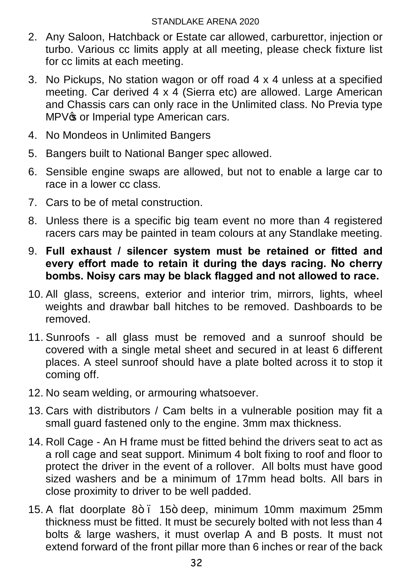- 2. Any Saloon, Hatchback or Estate car allowed, carburettor, injection or turbo. Various cc limits apply at all meeting, please check fixture list for cc limits at each meeting.
- 3. No Pickups, No station wagon or off road 4 x 4 unless at a specified meeting. Car derived 4 x 4 (Sierra etc) are allowed. Large American and Chassis cars can only race in the Unlimited class. No Previa type MPV<sub><sup>®</sub></sup> or Imperial type American cars.</sub>
- 4. No Mondeos in Unlimited Bangers
- 5. Bangers built to National Banger spec allowed.
- 6. Sensible engine swaps are allowed, but not to enable a large car to race in a lower cc class.
- 7. Cars to be of metal construction.
- 8. Unless there is a specific big team event no more than 4 registered racers cars may be painted in team colours at any Standlake meeting.
- 9. **Full exhaust / silencer system must be retained or fitted and every effort made to retain it during the days racing. No cherry bombs. Noisy cars may be black flagged and not allowed to race.**
- 10. All glass, screens, exterior and interior trim, mirrors, lights, wheel weights and drawbar ball hitches to be removed. Dashboards to be removed.
- 11. Sunroofs all glass must be removed and a sunroof should be covered with a single metal sheet and secured in at least 6 different places. A steel sunroof should have a plate bolted across it to stop it coming off.
- 12. No seam welding, or armouring whatsoever.
- 13. Cars with distributors / Cam belts in a vulnerable position may fit a small guard fastened only to the engine. 3mm max thickness.
- 14. Roll Cage An H frame must be fitted behind the drivers seat to act as a roll cage and seat support. Minimum 4 bolt fixing to roof and floor to protect the driver in the event of a rollover. All bolts must have good sized washers and be a minimum of 17mm head bolts. All bars in close proximity to driver to be well padded.
- 15. A flat doorplate 8+ . 15+ deep, minimum 10mm maximum 25mm thickness must be fitted. It must be securely bolted with not less than 4 bolts & large washers, it must overlap A and B posts. It must not extend forward of the front pillar more than 6 inches or rear of the back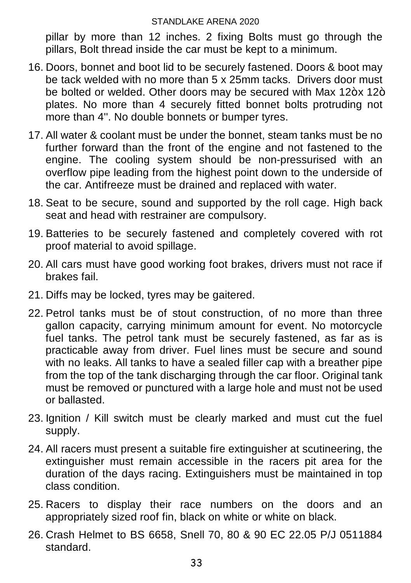pillar by more than 12 inches. 2 fixing Bolts must go through the pillars, Bolt thread inside the car must be kept to a minimum.

- 16. Doors, bonnet and boot lid to be securely fastened. Doors & boot may be tack welded with no more than 5 x 25mm tacks. Drivers door must be bolted or welded. Other doors may be secured with Max 12+x 12+ plates. No more than 4 securely fitted bonnet bolts protruding not more than 4''. No double bonnets or bumper tyres.
- 17. All water & coolant must be under the bonnet, steam tanks must be no further forward than the front of the engine and not fastened to the engine. The cooling system should be non-pressurised with an overflow pipe leading from the highest point down to the underside of the car. Antifreeze must be drained and replaced with water.
- 18. Seat to be secure, sound and supported by the roll cage. High back seat and head with restrainer are compulsory.
- 19. Batteries to be securely fastened and completely covered with rot proof material to avoid spillage.
- 20. All cars must have good working foot brakes, drivers must not race if brakes fail.
- 21. Diffs may be locked, tyres may be gaitered.
- 22. Petrol tanks must be of stout construction, of no more than three gallon capacity, carrying minimum amount for event. No motorcycle fuel tanks. The petrol tank must be securely fastened, as far as is practicable away from driver. Fuel lines must be secure and sound with no leaks. All tanks to have a sealed filler cap with a breather pipe from the top of the tank discharging through the car floor. Original tank must be removed or punctured with a large hole and must not be used or ballasted.
- 23. Ignition / Kill switch must be clearly marked and must cut the fuel supply.
- 24. All racers must present a suitable fire extinguisher at scutineering, the extinguisher must remain accessible in the racers pit area for the duration of the days racing. Extinguishers must be maintained in top class condition.
- 25. Racers to display their race numbers on the doors and an appropriately sized roof fin, black on white or white on black.
- 26. Crash Helmet to BS 6658, Snell 70, 80 & 90 EC 22.05 P/J 0511884 standard.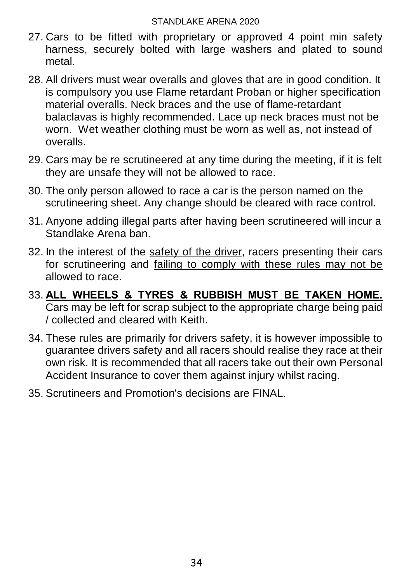- 27. Cars to be fitted with proprietary or approved 4 point min safety harness, securely bolted with large washers and plated to sound metal.
- 28. All drivers must wear overalls and gloves that are in good condition. It is compulsory you use Flame retardant Proban or higher specification material overalls. Neck braces and the use of flame-retardant balaclavas is highly recommended. Lace up neck braces must not be worn. Wet weather clothing must be worn as well as, not instead of overalls.
- 29. Cars may be re scrutineered at any time during the meeting, if it is felt they are unsafe they will not be allowed to race.
- 30. The only person allowed to race a car is the person named on the scrutineering sheet. Any change should be cleared with race control.
- 31. Anyone adding illegal parts after having been scrutineered will incur a Standlake Arena ban.
- 32. In the interest of the safety of the driver, racers presenting their cars for scrutineering and failing to comply with these rules may not be allowed to race.
- 33. **ALL WHEELS & TYRES & RUBBISH MUST BE TAKEN HOME.** Cars may be left for scrap subject to the appropriate charge being paid / collected and cleared with Keith.
- 34. These rules are primarily for drivers safety, it is however impossible to guarantee drivers safety and all racers should realise they race at their own risk. It is recommended that all racers take out their own Personal Accident Insurance to cover them against injury whilst racing.
- 35. Scrutineers and Promotion's decisions are FINAL.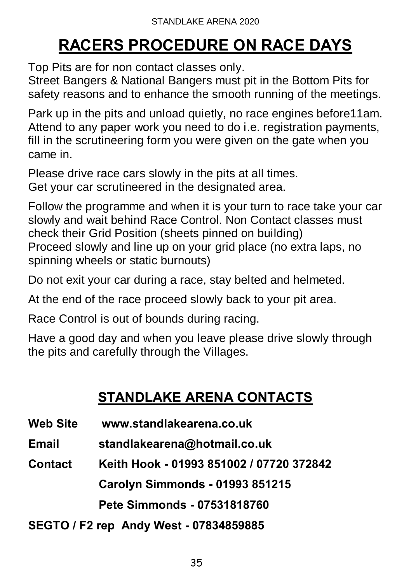# **RACERS PROCEDURE ON RACE DAYS**

Top Pits are for non contact classes only.

Street Bangers & National Bangers must pit in the Bottom Pits for safety reasons and to enhance the smooth running of the meetings.

Park up in the pits and unload quietly, no race engines before11am. Attend to any paper work you need to do i.e. registration payments, fill in the scrutineering form you were given on the gate when you came in.

Please drive race cars slowly in the pits at all times. Get your car scrutineered in the designated area.

Follow the programme and when it is your turn to race take your car slowly and wait behind Race Control. Non Contact classes must check their Grid Position (sheets pinned on building) Proceed slowly and line up on your grid place (no extra laps, no spinning wheels or static burnouts)

Do not exit your car during a race, stay belted and helmeted.

At the end of the race proceed slowly back to your pit area.

Race Control is out of bounds during racing.

Have a good day and when you leave please drive slowly through the pits and carefully through the Villages.

# **STANDLAKE ARENA CONTACTS**

**Web Site www.standlakearena.co.uk**

**Email standlakearena@hotmail.co.uk**

**Contact Keith Hook - 01993 851002 / 07720 372842**

**Carolyn Simmonds - 01993 851215** 

**Pete Simmonds - 07531818760**

**SEGTO / F2 rep Andy West - 07834859885**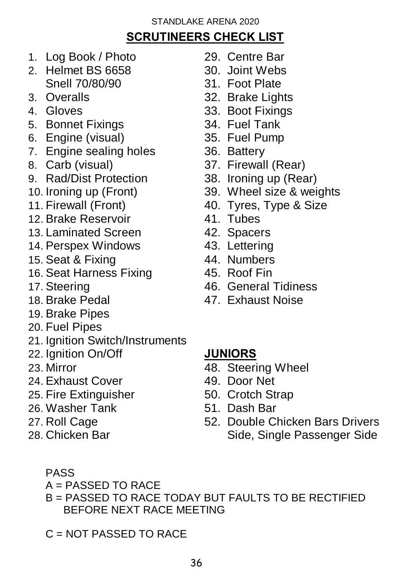# **SCRUTINEERS CHECK LIST**

- 1. Log Book / Photo 29. Centre Bar
- 2. Helmet BS 6658 30. Joint Webs Snell 70/80/90 31. Foot Plate
- 
- 
- 5. Bonnet Fixings
- 6. Engine (visual) 35. Fuel Pump
- 7. Engine sealing holes 36. Battery
- 
- 9. Rad/Dist Protection 38. Ironing up (Rear)
- 
- 
- 12. Brake Reservoir **41. Tubes**<br>13. Laminated Screen 42. Spacers
- 13. Laminated Screen
- 14. Perspex Windows 43. Lettering
- 15. Seat & Fixing 44. Numbers
- 16. Seat Harness Fixing 45. Roof Fin
- 
- 
- 19. Brake Pipes
- 20. Fuel Pipes
- 21. Ianition Switch/Instruments
- 22. Ignition On/Off **JUNIORS**
- 
- 24. Exhaust Cover 49. Door Net
- 25. Fire Extinguisher 50. Crotch Strap
- 26. Washer Tank 51. Dash Bar
- 
- 
- 
- 
- 
- 3. Overalls 32. Brake Lights
- 4. Gloves 33. Boot Fixings<br>5. Bonnet Fixings 5. Senate 194. Fuel Tank
	-
	-
	-
- 8. Carb (visual) 37. Firewall (Rear)
	-
- 10. Ironing up (Front) 39. Wheel size & weights
- 11. Firewall (Front) 40. Tyres, Type & Size
	-
	-
	-
	-
	-
- 17. Steering 46. General Tidiness
- 18. Brake Pedal 47. Exhaust Noise

- 23. Mirror 48. Steering Wheel
	-
	-
	-
- 27. Roll Cage 52. Double Chicken Bars Drivers 28. Chicken Bar Side, Single Passenger Side
	- PASS

 $A = PASSFD TO RACE$ 

B = PASSED TO RACE TODAY BUT FAULTS TO BE RECTIFIED BEFORE NEXT RACE MEETING

 $C = NOT PASSED TO RACE$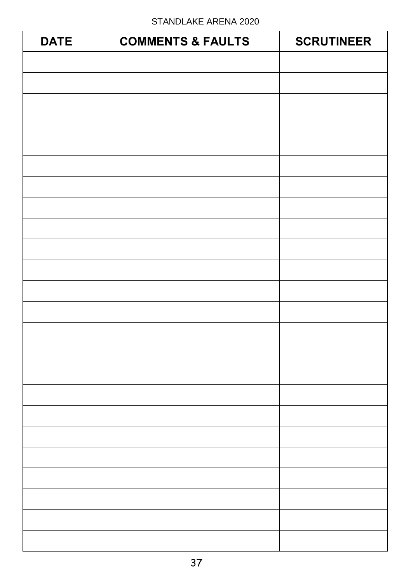| <b>DATE</b> | <b>COMMENTS &amp; FAULTS</b> | <b>SCRUTINEER</b> |
|-------------|------------------------------|-------------------|
|             |                              |                   |
|             |                              |                   |
|             |                              |                   |
|             |                              |                   |
|             |                              |                   |
|             |                              |                   |
|             |                              |                   |
|             |                              |                   |
|             |                              |                   |
|             |                              |                   |
|             |                              |                   |
|             |                              |                   |
|             |                              |                   |
|             |                              |                   |
|             |                              |                   |
|             |                              |                   |
|             |                              |                   |
|             |                              |                   |
|             |                              |                   |
|             |                              |                   |
|             |                              |                   |
|             |                              |                   |
|             |                              |                   |
|             |                              |                   |
|             |                              |                   |